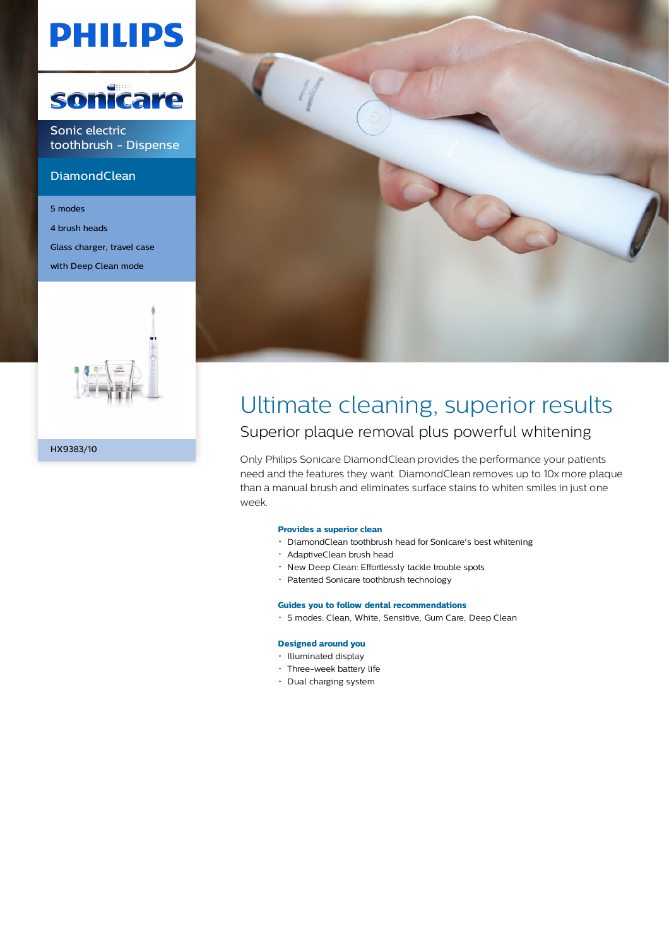# **PHILIPS**



Sonic electric toothbrush - Dispense

### **DiamondClean**

5 modes 4 brush heads Glass charger, travel case with Deep Clean mode





# Ultimate cleaning, superior results

### Superior plaque removal plus powerful whitening

Only Philips Sonicare DiamondClean provides the performance your patients need and the features they want. DiamondClean removes up to 10x more plaque than a manual brush and eliminates surface stains to whiten smiles in just one week.

#### **Provides a superior clean**

- DiamondClean toothbrush head for Sonicare's best whitening
- AdaptiveClean brush head
- New Deep Clean: Effortlessly tackle trouble spots
- Patented Sonicare toothbrush technology

#### **Guides you to follow dental recommendations**

5 modes: Clean, White, Sensitive, Gum Care, Deep Clean

#### **Designed around you**

- Illuminated display
- Three-week battery life
- Dual charging system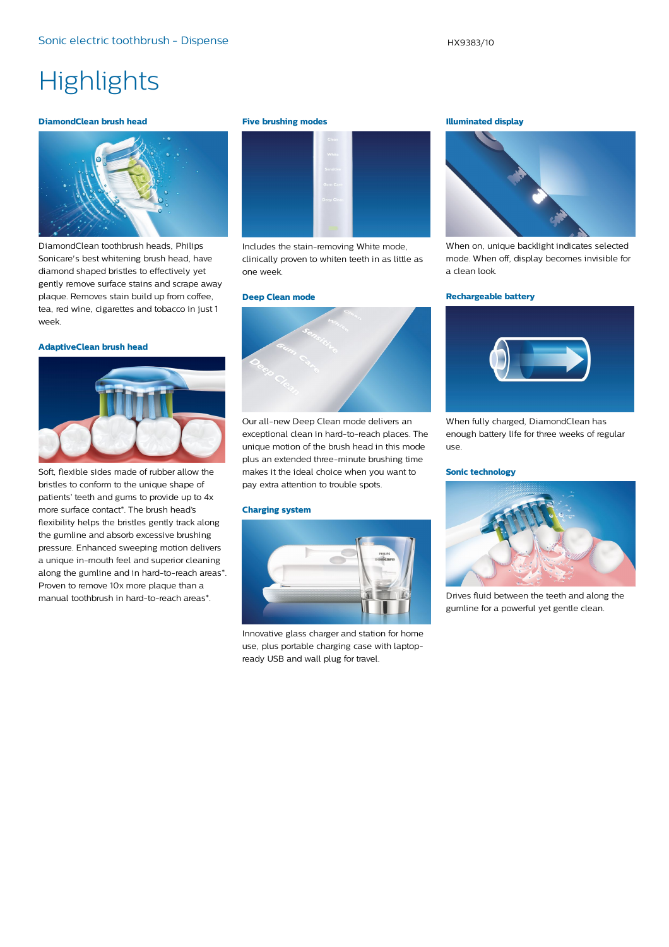## **Highlights**

#### **DiamondClean brush head**



DiamondClean toothbrush heads, Philips Sonicare's best whitening brush head, have diamond shaped bristles to effectively yet gently remove surface stains and scrape away plaque. Removes stain build up from coffee, tea, red wine, cigarettes and tobacco in just 1 week.

#### **AdaptiveClean brush head**



Soft, flexible sides made of rubber allow the bristles to conform to the unique shape of patients' teeth and gums to provide up to 4x more surface contact\*. The brush head's flexibility helps the bristles gently track along the gumline and absorb excessive brushing pressure. Enhanced sweeping motion delivers a unique in-mouth feel and superior cleaning along the gumline and in hard-to-reach areas\*. Proven to remove 10x more plaque than a manual toothbrush in hard-to-reach areas\*.

#### **Five brushing modes**



Includes the stain-removing White mode, clinically proven to whiten teeth in as little as one week.

#### **Deep Clean mode**



Our all-new Deep Clean mode delivers an exceptional clean in hard-to-reach places. The unique motion of the brush head in this mode plus an extended three-minute brushing time makes it the ideal choice when you want to pay extra attention to trouble spots.

#### **Charging system**



Innovative glass charger and station for home use, plus portable charging case with laptopready USB and wall plug for travel.

#### **Illuminated display**



When on, unique backlight indicates selected mode. When off, display becomes invisible for a clean look.

#### **Rechargeable battery**



When fully charged, DiamondClean has enough battery life for three weeks of regular use.

#### **Sonic technology**



Drives fluid between the teeth and along the gumline for a powerful yet gentle clean.